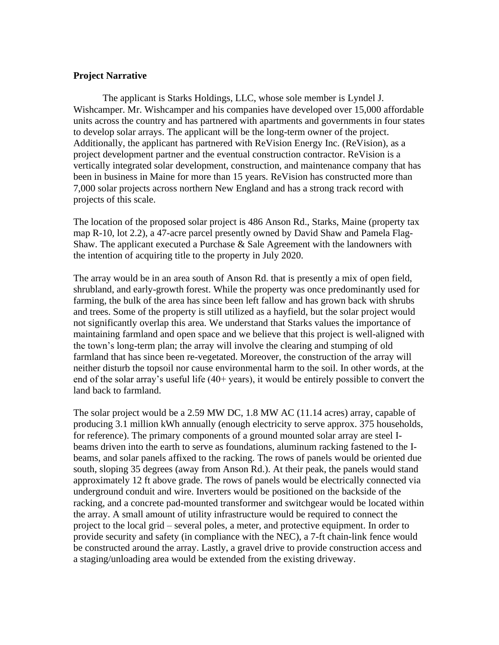## **Project Narrative**

The applicant is Starks Holdings, LLC, whose sole member is Lyndel J. Wishcamper. Mr. Wishcamper and his companies have developed over 15,000 affordable units across the country and has partnered with apartments and governments in four states to develop solar arrays. The applicant will be the long-term owner of the project. Additionally, the applicant has partnered with ReVision Energy Inc. (ReVision), as a project development partner and the eventual construction contractor. ReVision is a vertically integrated solar development, construction, and maintenance company that has been in business in Maine for more than 15 years. ReVision has constructed more than 7,000 solar projects across northern New England and has a strong track record with projects of this scale.

The location of the proposed solar project is 486 Anson Rd., Starks, Maine (property tax map R-10, lot 2.2), a 47-acre parcel presently owned by David Shaw and Pamela Flag-Shaw. The applicant executed a Purchase  $\&$  Sale Agreement with the landowners with the intention of acquiring title to the property in July 2020.

The array would be in an area south of Anson Rd. that is presently a mix of open field, shrubland, and early-growth forest. While the property was once predominantly used for farming, the bulk of the area has since been left fallow and has grown back with shrubs and trees. Some of the property is still utilized as a hayfield, but the solar project would not significantly overlap this area. We understand that Starks values the importance of maintaining farmland and open space and we believe that this project is well-aligned with the town's long-term plan; the array will involve the clearing and stumping of old farmland that has since been re-vegetated. Moreover, the construction of the array will neither disturb the topsoil nor cause environmental harm to the soil. In other words, at the end of the solar array's useful life (40+ years), it would be entirely possible to convert the land back to farmland.

The solar project would be a 2.59 MW DC, 1.8 MW AC (11.14 acres) array, capable of producing 3.1 million kWh annually (enough electricity to serve approx. 375 households, for reference). The primary components of a ground mounted solar array are steel Ibeams driven into the earth to serve as foundations, aluminum racking fastened to the Ibeams, and solar panels affixed to the racking. The rows of panels would be oriented due south, sloping 35 degrees (away from Anson Rd.). At their peak, the panels would stand approximately 12 ft above grade. The rows of panels would be electrically connected via underground conduit and wire. Inverters would be positioned on the backside of the racking, and a concrete pad-mounted transformer and switchgear would be located within the array. A small amount of utility infrastructure would be required to connect the project to the local grid – several poles, a meter, and protective equipment. In order to provide security and safety (in compliance with the NEC), a 7-ft chain-link fence would be constructed around the array. Lastly, a gravel drive to provide construction access and a staging/unloading area would be extended from the existing driveway.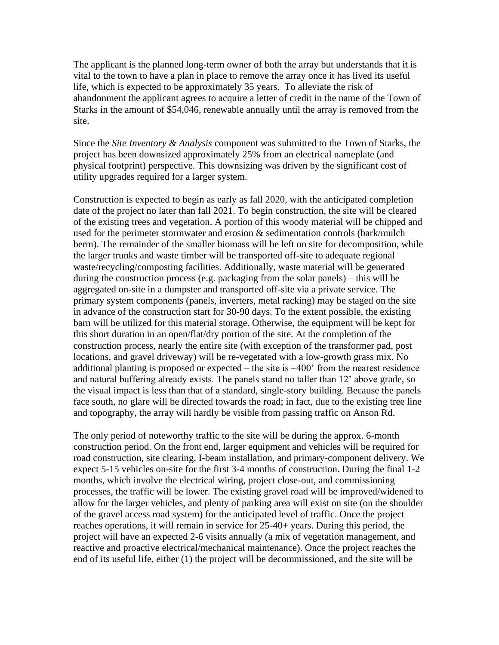The applicant is the planned long-term owner of both the array but understands that it is vital to the town to have a plan in place to remove the array once it has lived its useful life, which is expected to be approximately 35 years. To alleviate the risk of abandonment the applicant agrees to acquire a letter of credit in the name of the Town of Starks in the amount of \$54,046, renewable annually until the array is removed from the site.

Since the *Site Inventory & Analysis* component was submitted to the Town of Starks, the project has been downsized approximately 25% from an electrical nameplate (and physical footprint) perspective. This downsizing was driven by the significant cost of utility upgrades required for a larger system.

Construction is expected to begin as early as fall 2020, with the anticipated completion date of the project no later than fall 2021. To begin construction, the site will be cleared of the existing trees and vegetation. A portion of this woody material will be chipped and used for the perimeter stormwater and erosion & sedimentation controls (bark/mulch berm). The remainder of the smaller biomass will be left on site for decomposition, while the larger trunks and waste timber will be transported off-site to adequate regional waste/recycling/composting facilities. Additionally, waste material will be generated during the construction process (e.g. packaging from the solar panels) – this will be aggregated on-site in a dumpster and transported off-site via a private service. The primary system components (panels, inverters, metal racking) may be staged on the site in advance of the construction start for 30-90 days. To the extent possible, the existing barn will be utilized for this material storage. Otherwise, the equipment will be kept for this short duration in an open/flat/dry portion of the site. At the completion of the construction process, nearly the entire site (with exception of the transformer pad, post locations, and gravel driveway) will be re-vegetated with a low-growth grass mix. No additional planting is proposed or expected – the site is  $\sim$ 400' from the nearest residence and natural buffering already exists. The panels stand no taller than 12' above grade, so the visual impact is less than that of a standard, single-story building. Because the panels face south, no glare will be directed towards the road; in fact, due to the existing tree line and topography, the array will hardly be visible from passing traffic on Anson Rd.

The only period of noteworthy traffic to the site will be during the approx. 6-month construction period. On the front end, larger equipment and vehicles will be required for road construction, site clearing, I-beam installation, and primary-component delivery. We expect 5-15 vehicles on-site for the first 3-4 months of construction. During the final 1-2 months, which involve the electrical wiring, project close-out, and commissioning processes, the traffic will be lower. The existing gravel road will be improved/widened to allow for the larger vehicles, and plenty of parking area will exist on site (on the shoulder of the gravel access road system) for the anticipated level of traffic. Once the project reaches operations, it will remain in service for 25-40+ years. During this period, the project will have an expected 2-6 visits annually (a mix of vegetation management, and reactive and proactive electrical/mechanical maintenance). Once the project reaches the end of its useful life, either (1) the project will be decommissioned, and the site will be